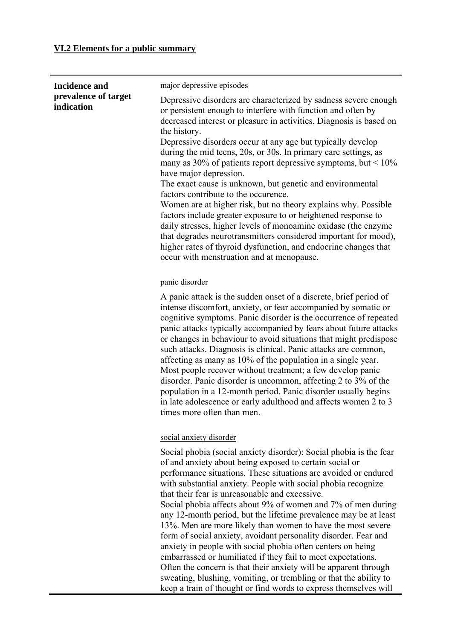## **VI.2 Elements for a public summary**

| <b>Incidence and</b>               | major depressive episodes                                                                                                                                                                                                                                                                                                                                                                                                                                                                                                                                                                                                                                                                                                                                                                                                                                                                                                                              |
|------------------------------------|--------------------------------------------------------------------------------------------------------------------------------------------------------------------------------------------------------------------------------------------------------------------------------------------------------------------------------------------------------------------------------------------------------------------------------------------------------------------------------------------------------------------------------------------------------------------------------------------------------------------------------------------------------------------------------------------------------------------------------------------------------------------------------------------------------------------------------------------------------------------------------------------------------------------------------------------------------|
| prevalence of target<br>indication | Depressive disorders are characterized by sadness severe enough<br>or persistent enough to interfere with function and often by<br>decreased interest or pleasure in activities. Diagnosis is based on<br>the history.<br>Depressive disorders occur at any age but typically develop<br>during the mid teens, 20s, or 30s. In primary care settings, as<br>many as 30% of patients report depressive symptoms, but $\leq 10\%$<br>have major depression.<br>The exact cause is unknown, but genetic and environmental<br>factors contribute to the occurence.<br>Women are at higher risk, but no theory explains why. Possible<br>factors include greater exposure to or heightened response to<br>daily stresses, higher levels of monoamine oxidase (the enzyme<br>that degrades neurotransmitters considered important for mood),<br>higher rates of thyroid dysfunction, and endocrine changes that<br>occur with menstruation and at menopause. |
|                                    | panic disorder                                                                                                                                                                                                                                                                                                                                                                                                                                                                                                                                                                                                                                                                                                                                                                                                                                                                                                                                         |
|                                    | A panic attack is the sudden onset of a discrete, brief period of<br>intense discomfort, anxiety, or fear accompanied by somatic or<br>cognitive symptoms. Panic disorder is the occurrence of repeated<br>panic attacks typically accompanied by fears about future attacks<br>or changes in behaviour to avoid situations that might predispose<br>such attacks. Diagnosis is clinical. Panic attacks are common,<br>affecting as many as 10% of the population in a single year.<br>Most people recover without treatment; a few develop panic<br>disorder. Panic disorder is uncommon, affecting 2 to 3% of the<br>population in a 12-month period. Panic disorder usually begins<br>in late adolescence or early adulthood and affects women 2 to 3<br>times more often than men.                                                                                                                                                                 |
|                                    | social anxiety disorder                                                                                                                                                                                                                                                                                                                                                                                                                                                                                                                                                                                                                                                                                                                                                                                                                                                                                                                                |
|                                    | Social phobia (social anxiety disorder): Social phobia is the fear<br>of and anxiety about being exposed to certain social or<br>performance situations. These situations are avoided or endured<br>with substantial anxiety. People with social phobia recognize<br>that their fear is unreasonable and excessive.<br>Social phobia affects about 9% of women and 7% of men during<br>any 12-month period, but the lifetime prevalence may be at least<br>13%. Men are more likely than women to have the most severe<br>form of social anxiety, avoidant personality disorder. Fear and<br>anxiety in people with social phobia often centers on being<br>embarrassed or humiliated if they fail to meet expectations.<br>Often the concern is that their anxiety will be apparent through<br>sweating, blushing, vomiting, or trembling or that the ability to<br>keep a train of thought or find words to express themselves will                  |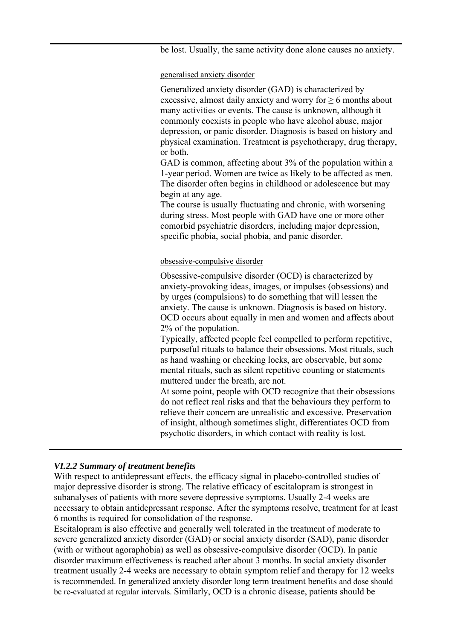be lost. Usually, the same activity done alone causes no anxiety.

generalised anxiety disorder

Generalized anxiety disorder (GAD) is characterized by excessive, almost daily anxiety and worry for  $\geq 6$  months about many activities or events. The cause is unknown, although it commonly coexists in people who have alcohol abuse, major depression, or panic disorder. Diagnosis is based on history and physical examination. Treatment is psychotherapy, drug therapy, or both.

GAD is common, affecting about 3% of the population within a 1-year period. Women are twice as likely to be affected as men. The disorder often begins in childhood or adolescence but may begin at any age.

The course is usually fluctuating and chronic, with worsening during stress. Most people with GAD have one or more other comorbid psychiatric disorders, including major depression, specific phobia, social phobia, and panic disorder.

#### obsessive-compulsive disorder

Obsessive-compulsive disorder (OCD) is characterized by anxiety-provoking ideas, images, or impulses (obsessions) and by urges (compulsions) to do something that will lessen the anxiety. The cause is unknown. Diagnosis is based on history. OCD occurs about equally in men and women and affects about 2% of the population.

Typically, affected people feel compelled to perform repetitive, purposeful rituals to balance their obsessions. Most rituals, such as hand washing or checking locks, are observable, but some mental rituals, such as silent repetitive counting or statements muttered under the breath, are not.

At some point, people with OCD recognize that their obsessions do not reflect real risks and that the behaviours they perform to relieve their concern are unrealistic and excessive. Preservation of insight, although sometimes slight, differentiates OCD from psychotic disorders, in which contact with reality is lost.

#### *VI.2.2 Summary of treatment benefits*

With respect to antidepressant effects, the efficacy signal in placebo-controlled studies of major depressive disorder is strong. The relative efficacy of escitalopram is strongest in subanalyses of patients with more severe depressive symptoms. Usually 2-4 weeks are necessary to obtain antidepressant response. After the symptoms resolve, treatment for at least 6 months is required for consolidation of the response.

Escitalopram is also effective and generally well tolerated in the treatment of moderate to severe generalized anxiety disorder (GAD) or social anxiety disorder (SAD), panic disorder (with or without agoraphobia) as well as obsessive-compulsive disorder (OCD). In panic disorder maximum effectiveness is reached after about 3 months. In social anxiety disorder treatment usually 2-4 weeks are necessary to obtain symptom relief and therapy for 12 weeks is recommended. In generalized anxiety disorder long term treatment benefits and dose should be re-evaluated at regular intervals. Similarly, OCD is a chronic disease, patients should be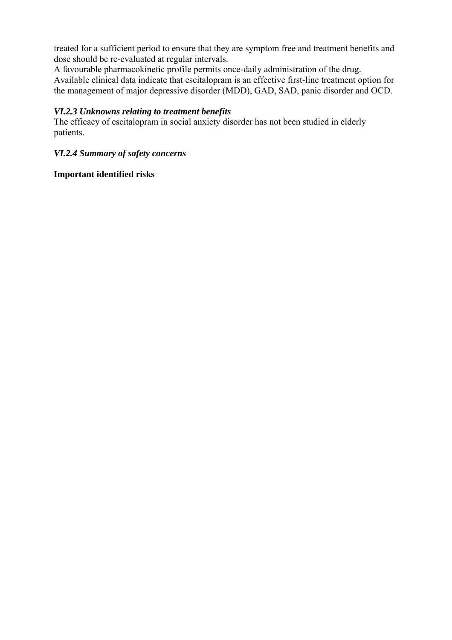treated for a sufficient period to ensure that they are symptom free and treatment benefits and dose should be re-evaluated at regular intervals.

A favourable pharmacokinetic profile permits once-daily administration of the drug. Available clinical data indicate that escitalopram is an effective first-line treatment option for the management of major depressive disorder (MDD), GAD, SAD, panic disorder and OCD.

#### *VI.2.3 Unknowns relating to treatment benefits*

The efficacy of escitalopram in social anxiety disorder has not been studied in elderly patients.

#### *VI.2.4 Summary of safety concerns*

#### **Important identified risks**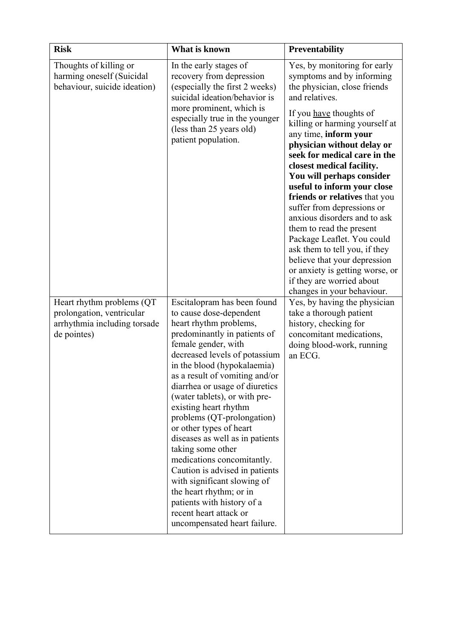| <b>Risk</b>                                                                                            | What is known                                                                                                                                                                                                                                                                                                                                                                                                                                                                                                                                                                                                                                                            | Preventability                                                                                                                                                                                                                                                                                                                                                                                                                                                                                                                                                    |
|--------------------------------------------------------------------------------------------------------|--------------------------------------------------------------------------------------------------------------------------------------------------------------------------------------------------------------------------------------------------------------------------------------------------------------------------------------------------------------------------------------------------------------------------------------------------------------------------------------------------------------------------------------------------------------------------------------------------------------------------------------------------------------------------|-------------------------------------------------------------------------------------------------------------------------------------------------------------------------------------------------------------------------------------------------------------------------------------------------------------------------------------------------------------------------------------------------------------------------------------------------------------------------------------------------------------------------------------------------------------------|
| Thoughts of killing or<br>harming oneself (Suicidal<br>behaviour, suicide ideation)                    | In the early stages of<br>recovery from depression<br>(especially the first 2 weeks)<br>suicidal ideation/behavior is                                                                                                                                                                                                                                                                                                                                                                                                                                                                                                                                                    | Yes, by monitoring for early<br>symptoms and by informing<br>the physician, close friends<br>and relatives.                                                                                                                                                                                                                                                                                                                                                                                                                                                       |
|                                                                                                        | more prominent, which is<br>especially true in the younger<br>(less than 25 years old)<br>patient population.                                                                                                                                                                                                                                                                                                                                                                                                                                                                                                                                                            | If you have thoughts of<br>killing or harming yourself at<br>any time, inform your<br>physician without delay or<br>seek for medical care in the<br>closest medical facility.<br>You will perhaps consider<br>useful to inform your close<br>friends or relatives that you<br>suffer from depressions or<br>anxious disorders and to ask<br>them to read the present<br>Package Leaflet. You could<br>ask them to tell you, if they<br>believe that your depression<br>or anxiety is getting worse, or<br>if they are worried about<br>changes in your behaviour. |
| Heart rhythm problems (QT)<br>prolongation, ventricular<br>arrhythmia including torsade<br>de pointes) | Escitalopram has been found<br>to cause dose-dependent<br>heart rhythm problems,<br>predominantly in patients of<br>female gender, with<br>decreased levels of potassium<br>in the blood (hypokalaemia)<br>as a result of vomiting and/or<br>diarrhea or usage of diuretics<br>(water tablets), or with pre-<br>existing heart rhythm<br>problems (QT-prolongation)<br>or other types of heart<br>diseases as well as in patients<br>taking some other<br>medications concomitantly.<br>Caution is advised in patients<br>with significant slowing of<br>the heart rhythm; or in<br>patients with history of a<br>recent heart attack or<br>uncompensated heart failure. | Yes, by having the physician<br>take a thorough patient<br>history, checking for<br>concomitant medications,<br>doing blood-work, running<br>an ECG.                                                                                                                                                                                                                                                                                                                                                                                                              |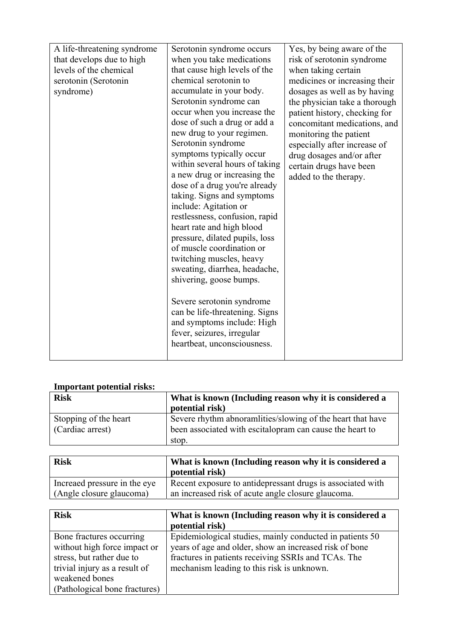| A life-threatening syndrome<br>that develops due to high<br>levels of the chemical<br>serotonin (Serotonin<br>syndrome) | Serotonin syndrome occurs<br>when you take medications<br>that cause high levels of the<br>chemical serotonin to<br>accumulate in your body.<br>Serotonin syndrome can<br>occur when you increase the<br>dose of such a drug or add a<br>new drug to your regimen.<br>Serotonin syndrome<br>symptoms typically occur<br>within several hours of taking<br>a new drug or increasing the<br>dose of a drug you're already<br>taking. Signs and symptoms<br>include: Agitation or<br>restlessness, confusion, rapid<br>heart rate and high blood<br>pressure, dilated pupils, loss | Yes, by being aware of the<br>risk of serotonin syndrome<br>when taking certain<br>medicines or increasing their<br>dosages as well as by having<br>the physician take a thorough<br>patient history, checking for<br>concomitant medications, and<br>monitoring the patient<br>especially after increase of<br>drug dosages and/or after<br>certain drugs have been<br>added to the therapy. |
|-------------------------------------------------------------------------------------------------------------------------|---------------------------------------------------------------------------------------------------------------------------------------------------------------------------------------------------------------------------------------------------------------------------------------------------------------------------------------------------------------------------------------------------------------------------------------------------------------------------------------------------------------------------------------------------------------------------------|-----------------------------------------------------------------------------------------------------------------------------------------------------------------------------------------------------------------------------------------------------------------------------------------------------------------------------------------------------------------------------------------------|
|                                                                                                                         |                                                                                                                                                                                                                                                                                                                                                                                                                                                                                                                                                                                 |                                                                                                                                                                                                                                                                                                                                                                                               |
|                                                                                                                         |                                                                                                                                                                                                                                                                                                                                                                                                                                                                                                                                                                                 |                                                                                                                                                                                                                                                                                                                                                                                               |
|                                                                                                                         |                                                                                                                                                                                                                                                                                                                                                                                                                                                                                                                                                                                 |                                                                                                                                                                                                                                                                                                                                                                                               |
|                                                                                                                         |                                                                                                                                                                                                                                                                                                                                                                                                                                                                                                                                                                                 |                                                                                                                                                                                                                                                                                                                                                                                               |
|                                                                                                                         | of muscle coordination or                                                                                                                                                                                                                                                                                                                                                                                                                                                                                                                                                       |                                                                                                                                                                                                                                                                                                                                                                                               |
|                                                                                                                         | twitching muscles, heavy<br>sweating, diarrhea, headache,<br>shivering, goose bumps.                                                                                                                                                                                                                                                                                                                                                                                                                                                                                            |                                                                                                                                                                                                                                                                                                                                                                                               |
|                                                                                                                         | Severe serotonin syndrome<br>can be life-threatening. Signs<br>and symptoms include: High<br>fever, seizures, irregular<br>heartbeat, unconsciousness.                                                                                                                                                                                                                                                                                                                                                                                                                          |                                                                                                                                                                                                                                                                                                                                                                                               |

### **Important potential risks:**

| <b>Risk</b>                               | What is known (Including reason why it is considered a<br>potential risk)                                              |
|-------------------------------------------|------------------------------------------------------------------------------------------------------------------------|
| Stopping of the heart<br>(Cardiac arrest) | Severe rhythm abnoramities/slowing of the heart that have<br>been associated with escital opram can cause the heart to |
|                                           | stop.                                                                                                                  |

| <b>Risk</b>                   | What is known (Including reason why it is considered a<br>potential risk) |
|-------------------------------|---------------------------------------------------------------------------|
| Increased pressure in the eye | Recent exposure to antidepressant drugs is associated with                |
| (Angle closure glaucoma)      | an increased risk of acute angle closure glaucoma.                        |

| <b>Risk</b>                   | What is known (Including reason why it is considered a   |
|-------------------------------|----------------------------------------------------------|
|                               | potential risk)                                          |
| Bone fractures occurring      | Epidemiological studies, mainly conducted in patients 50 |
| without high force impact or  | years of age and older, show an increased risk of bone   |
| stress, but rather due to     | fractures in patients receiving SSRIs and TCAs. The      |
| trivial injury as a result of | mechanism leading to this risk is unknown.               |
| weakened bones                |                                                          |
| (Pathological bone fractures) |                                                          |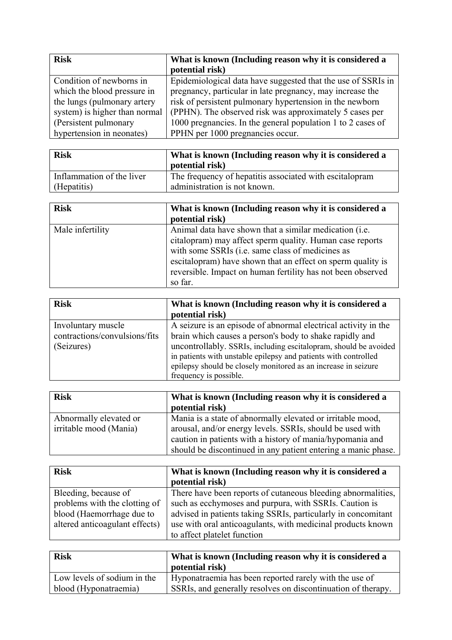| <b>Risk</b>                   | What is known (Including reason why it is considered a<br>potential risk) |
|-------------------------------|---------------------------------------------------------------------------|
| Condition of newborns in      | Epidemiological data have suggested that the use of SSRIs in              |
| which the blood pressure in   | pregnancy, particular in late pregnancy, may increase the                 |
| the lungs (pulmonary artery   | risk of persistent pulmonary hypertension in the newborn                  |
| system) is higher than normal | (PPHN). The observed risk was approximately 5 cases per                   |
| (Persistent pulmonary)        | 1000 pregnancies. In the general population 1 to 2 cases of               |
| hypertension in neonates)     | PPHN per 1000 pregnancies occur.                                          |

| <b>Risk</b>               | What is known (Including reason why it is considered a   |  |
|---------------------------|----------------------------------------------------------|--|
|                           | potential risk)                                          |  |
| Inflammation of the liver | The frequency of hepatitis associated with escital opram |  |
| $\Box$ (Hepatitis)        | administration is not known.                             |  |

| <b>Risk</b>      | What is known (Including reason why it is considered a<br>potential risk)                                                                                                                                                                                                                                        |
|------------------|------------------------------------------------------------------------------------------------------------------------------------------------------------------------------------------------------------------------------------------------------------------------------------------------------------------|
| Male infertility | Animal data have shown that a similar medication (i.e.<br>citalopram) may affect sperm quality. Human case reports<br>with some SSRIs (i.e. same class of medicines as<br>escital option have shown that an effect on sperm quality is<br>reversible. Impact on human fertility has not been observed<br>so far. |

| <b>Risk</b>                                                       | What is known (Including reason why it is considered a<br>potential risk)                                                                                                                                                                                                                                                          |
|-------------------------------------------------------------------|------------------------------------------------------------------------------------------------------------------------------------------------------------------------------------------------------------------------------------------------------------------------------------------------------------------------------------|
| Involuntary muscle<br>contractions/convulsions/fits<br>(Seizures) | A seizure is an episode of abnormal electrical activity in the<br>brain which causes a person's body to shake rapidly and<br>uncontrollably. SSRIs, including escitalopram, should be avoided<br>in patients with unstable epilepsy and patients with controlled<br>epilepsy should be closely monitored as an increase in seizure |
|                                                                   | frequency is possible.                                                                                                                                                                                                                                                                                                             |

| <b>Risk</b>                                      | What is known (Including reason why it is considered a<br>potential risk)                                                                                                                                                                             |
|--------------------------------------------------|-------------------------------------------------------------------------------------------------------------------------------------------------------------------------------------------------------------------------------------------------------|
| Abnormally elevated or<br>irritable mood (Mania) | Mania is a state of abnormally elevated or irritable mood,<br>arousal, and/or energy levels. SSRIs, should be used with<br>caution in patients with a history of mania/hypomania and<br>should be discontinued in any patient entering a manic phase. |

| <b>Risk</b>                                                                                                          | What is known (Including reason why it is considered a<br>potential risk)                                                                                                                                                                                                             |
|----------------------------------------------------------------------------------------------------------------------|---------------------------------------------------------------------------------------------------------------------------------------------------------------------------------------------------------------------------------------------------------------------------------------|
| Bleeding, because of<br>problems with the clotting of<br>blood (Haemorrhage due to<br>altered anticoagulant effects) | There have been reports of cutaneous bleeding abnormalities,<br>such as ecchymoses and purpura, with SSRIs. Caution is<br>advised in patients taking SSRIs, particularly in concomitant<br>use with oral anticoagulants, with medicinal products known<br>to affect platelet function |

| <b>Risk</b>                 | What is known (Including reason why it is considered a<br>potential risk) |
|-----------------------------|---------------------------------------------------------------------------|
| Low levels of sodium in the | Hyponatraemia has been reported rarely with the use of                    |
| blood (Hyponatraemia)       | SSRIs, and generally resolves on discontinuation of therapy.              |